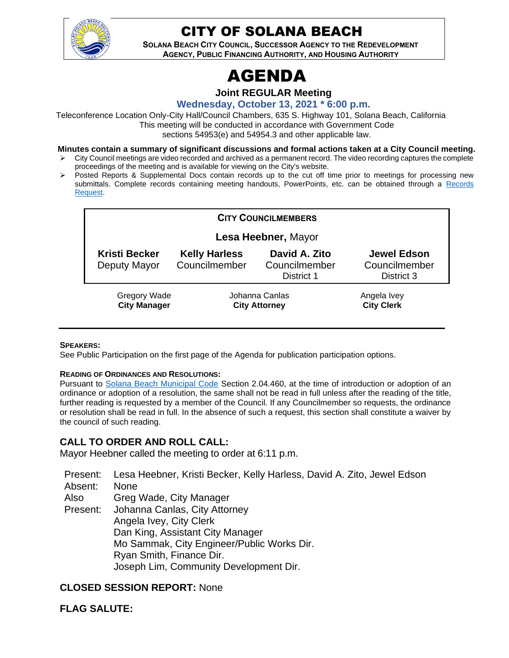

# CITY OF SOLANA BEACH

**SOLANA BEACH CITY COUNCIL, SUCCESSOR AGENCY TO THE REDEVELOPMENT AGENCY, PUBLIC FINANCING AUTHORITY, AND HOUSING AUTHORITY** 

# AGENDA

**Joint REGULAR Meeting**

**Wednesday, October 13, 2021 \* 6:00 p.m.**

Teleconference Location Only-City Hall/Council Chambers, 635 S. Highway 101, Solana Beach, California This meeting will be conducted in accordance with Government Code sections 54953(e) and 54954.3 and other applicable law.

**Minutes contain a summary of significant discussions and formal actions taken at a City Council meeting.**

- ➢ City Council meetings are video recorded and archived as a permanent record. The video recording captures the complete proceedings of the meeting and is available for viewing on the City's website.
- Posted Reports & Supplemental Docs contain records up to the cut off time prior to meetings for processing new submittals. Complete records containing meeting handouts, PowerPoints, etc. can be obtained through a [Records](http://www.ci.solana-beach.ca.us/index.asp?SEC=F5D45D10-70CE-4291-A27C-7BD633FC6742&Type=B_BASIC)  [Request.](http://www.ci.solana-beach.ca.us/index.asp?SEC=F5D45D10-70CE-4291-A27C-7BD633FC6742&Type=B_BASIC)

| <b>CITY COUNCILMEMBERS</b>                 |                                        |                                              |                                                   |  |
|--------------------------------------------|----------------------------------------|----------------------------------------------|---------------------------------------------------|--|
|                                            | Lesa Heebner, Mayor                    |                                              |                                                   |  |
| <b>Kristi Becker</b><br>Deputy Mayor       | <b>Kelly Harless</b><br>Councilmember  | David A. Zito<br>Councilmember<br>District 1 | <b>Jewel Edson</b><br>Councilmember<br>District 3 |  |
| <b>Gregory Wade</b><br><b>City Manager</b> | Johanna Canlas<br><b>City Attorney</b> |                                              | Angela Ivey<br><b>City Clerk</b>                  |  |

#### **SPEAKERS:**

See Public Participation on the first page of the Agenda for publication participation options.

#### **READING OF ORDINANCES AND RESOLUTIONS:**

Pursuant to [Solana Beach Municipal Code](https://www.codepublishing.com/CA/SolanaBeach/) Section 2.04.460, at the time of introduction or adoption of an ordinance or adoption of a resolution, the same shall not be read in full unless after the reading of the title, further reading is requested by a member of the Council. If any Councilmember so requests, the ordinance or resolution shall be read in full. In the absence of such a request, this section shall constitute a waiver by the council of such reading.

#### **CALL TO ORDER AND ROLL CALL:**

Mayor Heebner called the meeting to order at 6:11 p.m.

Present: Lesa Heebner, Kristi Becker, Kelly Harless, David A. Zito, Jewel Edson

Absent: None

Also Greg Wade, City Manager

Present: Johanna Canlas, City Attorney Angela Ivey, City Clerk Dan King, Assistant City Manager Mo Sammak, City Engineer/Public Works Dir. Ryan Smith, Finance Dir. Joseph Lim, Community Development Dir.

#### **CLOSED SESSION REPORT:** None

**FLAG SALUTE:**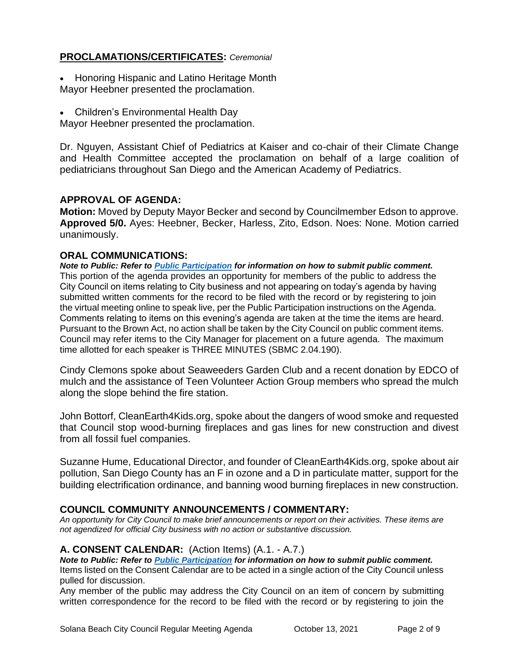# **PROCLAMATIONS/CERTIFICATES:** *Ceremonial*

- Honoring Hispanic and Latino Heritage Month Mayor Heebner presented the proclamation.
- Children's Environmental Health Day

Mayor Heebner presented the proclamation.

Dr. Nguyen, Assistant Chief of Pediatrics at Kaiser and co-chair of their Climate Change and Health Committee accepted the proclamation on behalf of a large coalition of pediatricians throughout San Diego and the American Academy of Pediatrics.

# **APPROVAL OF AGENDA:**

**Motion:** Moved by Deputy Mayor Becker and second by Councilmember Edson to approve. **Approved 5/0.** Ayes: Heebner, Becker, Harless, Zito, Edson. Noes: None. Motion carried unanimously.

# **ORAL COMMUNICATIONS:**

*Note to Public: Refer to Public Participation for information on how to submit public comment.*  This portion of the agenda provides an opportunity for members of the public to address the City Council on items relating to City business and not appearing on today's agenda by having submitted written comments for the record to be filed with the record or by registering to join the virtual meeting online to speak live, per the Public Participation instructions on the Agenda. Comments relating to items on this evening's agenda are taken at the time the items are heard. Pursuant to the Brown Act, no action shall be taken by the City Council on public comment items. Council may refer items to the City Manager for placement on a future agenda. The maximum time allotted for each speaker is THREE MINUTES (SBMC 2.04.190).

Cindy Clemons spoke about Seaweeders Garden Club and a recent donation by EDCO of mulch and the assistance of Teen Volunteer Action Group members who spread the mulch along the slope behind the fire station.

John Bottorf, CleanEarth4Kids.org, spoke about the dangers of wood smoke and requested that Council stop wood-burning fireplaces and gas lines for new construction and divest from all fossil fuel companies.

Suzanne Hume, Educational Director, and founder of CleanEarth4Kids.org, spoke about air pollution, San Diego County has an F in ozone and a D in particulate matter, support for the building electrification ordinance, and banning wood burning fireplaces in new construction.

# **COUNCIL COMMUNITY ANNOUNCEMENTS / COMMENTARY:**

*An opportunity for City Council to make brief announcements or report on their activities. These items are not agendized for official City business with no action or substantive discussion.* 

#### **A. CONSENT CALENDAR:** (Action Items) (A.1. - A.7.)

*Note to Public: Refer to Public Participation for information on how to submit public comment.*  Items listed on the Consent Calendar are to be acted in a single action of the City Council unless pulled for discussion.

Any member of the public may address the City Council on an item of concern by submitting written correspondence for the record to be filed with the record or by registering to join the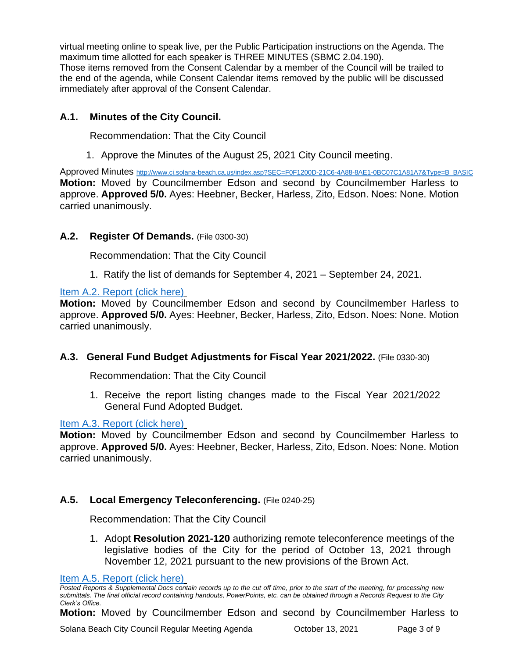virtual meeting online to speak live, per the Public Participation instructions on the Agenda. The maximum time allotted for each speaker is THREE MINUTES (SBMC 2.04.190). Those items removed from the Consent Calendar by a member of the Council will be trailed to the end of the agenda, while Consent Calendar items removed by the public will be discussed immediately after approval of the Consent Calendar.

# **A.1. Minutes of the City Council.**

Recommendation: That the City Council

1. Approve the Minutes of the August 25, 2021 City Council meeting.

Approved Minutes [http://www.ci.solana-beach.ca.us/index.asp?SEC=F0F1200D-21C6-4A88-8AE1-0BC07C1A81A7&Type=B\\_BASIC](http://www.ci.solana-beach.ca.us/index.asp?SEC=F0F1200D-21C6-4A88-8AE1-0BC07C1A81A7&Type=B_BASIC) **Motion:** Moved by Councilmember Edson and second by Councilmember Harless to approve. **Approved 5/0.** Ayes: Heebner, Becker, Harless, Zito, Edson. Noes: None. Motion carried unanimously.

# **A.2. Register Of Demands.** (File 0300-30)

Recommendation: That the City Council

1. Ratify the list of demands for September 4, 2021 – September 24, 2021.

[Item A.2. Report \(click here\)](https://solanabeach.govoffice3.com/vertical/Sites/%7B840804C2-F869-4904-9AE3-720581350CE7%7D/uploads/Item_A.2._Report_(click_here)_-_10-13-21_O.pdf)

**Motion:** Moved by Councilmember Edson and second by Councilmember Harless to approve. **Approved 5/0.** Ayes: Heebner, Becker, Harless, Zito, Edson. Noes: None. Motion carried unanimously.

# **A.3. General Fund Budget Adjustments for Fiscal Year 2021/2022.** (File 0330-30)

Recommendation: That the City Council

1. Receive the report listing changes made to the Fiscal Year 2021/2022 General Fund Adopted Budget.

# [Item A.3. Report \(click here\)](https://solanabeach.govoffice3.com/vertical/Sites/%7B840804C2-F869-4904-9AE3-720581350CE7%7D/uploads/Item_A.3._Report_(click_here)_-_10-13-21_O.pdf)

**Motion:** Moved by Councilmember Edson and second by Councilmember Harless to approve. **Approved 5/0.** Ayes: Heebner, Becker, Harless, Zito, Edson. Noes: None. Motion carried unanimously.

# **A.5. Local Emergency Teleconferencing.** (File 0240-25)

Recommendation: That the City Council

1. Adopt **Resolution 2021-120** authorizing remote teleconference meetings of the legislative bodies of the City for the period of October 13, 2021 through November 12, 2021 pursuant to the new provisions of the Brown Act.

[Item A.5. Report \(click here\)](https://solanabeach.govoffice3.com/vertical/Sites/%7B840804C2-F869-4904-9AE3-720581350CE7%7D/uploads/Item_A.5._Report_(click_here)_-_10-13-21_O.pdf)

*Posted Reports & Supplemental Docs contain records up to the cut off time, prior to the start of the meeting, for processing new submittals. The final official record containing handouts, PowerPoints, etc. can be obtained through a Records Request to the City Clerk's Office.*

**Motion:** Moved by Councilmember Edson and second by Councilmember Harless to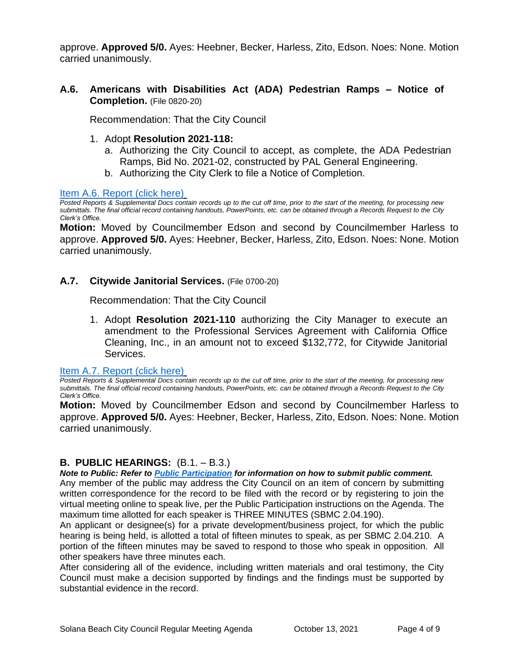approve. **Approved 5/0.** Ayes: Heebner, Becker, Harless, Zito, Edson. Noes: None. Motion carried unanimously.

**A.6. Americans with Disabilities Act (ADA) Pedestrian Ramps – Notice of Completion.** (File 0820-20)

Recommendation: That the City Council

- 1. Adopt **Resolution 2021-118:**
	- a. Authorizing the City Council to accept, as complete, the ADA Pedestrian Ramps, Bid No. 2021-02, constructed by PAL General Engineering.
	- b. Authorizing the City Clerk to file a Notice of Completion.

[Item A.6. Report \(click here\)](https://solanabeach.govoffice3.com/vertical/Sites/%7B840804C2-F869-4904-9AE3-720581350CE7%7D/uploads/Item_A.6._Report_(click_here)_-_10-13-21_O.pdf)

*Posted Reports & Supplemental Docs contain records up to the cut off time, prior to the start of the meeting, for processing new submittals. The final official record containing handouts, PowerPoints, etc. can be obtained through a Records Request to the City Clerk's Office.*

**Motion:** Moved by Councilmember Edson and second by Councilmember Harless to approve. **Approved 5/0.** Ayes: Heebner, Becker, Harless, Zito, Edson. Noes: None. Motion carried unanimously.

#### **A.7. Citywide Janitorial Services.** (File 0700-20)

Recommendation: That the City Council

1. Adopt **Resolution 2021-110** authorizing the City Manager to execute an amendment to the Professional Services Agreement with California Office Cleaning, Inc., in an amount not to exceed \$132,772, for Citywide Janitorial Services.

[Item A.7. Report \(click here\)](https://solanabeach.govoffice3.com/vertical/Sites/%7B840804C2-F869-4904-9AE3-720581350CE7%7D/uploads/Item_A.7._Report_(click_here)_-_10-13-21_O.pdf)

*Posted Reports & Supplemental Docs contain records up to the cut off time, prior to the start of the meeting, for processing new submittals. The final official record containing handouts, PowerPoints, etc. can be obtained through a Records Request to the City Clerk's Office.*

**Motion:** Moved by Councilmember Edson and second by Councilmember Harless to approve. **Approved 5/0.** Ayes: Heebner, Becker, Harless, Zito, Edson. Noes: None. Motion carried unanimously.

# **B. PUBLIC HEARINGS:** (B.1. – B.3.)

*Note to Public: Refer to Public Participation for information on how to submit public comment.* 

Any member of the public may address the City Council on an item of concern by submitting written correspondence for the record to be filed with the record or by registering to join the virtual meeting online to speak live, per the Public Participation instructions on the Agenda. The maximum time allotted for each speaker is THREE MINUTES (SBMC 2.04.190).

An applicant or designee(s) for a private development/business project, for which the public hearing is being held, is allotted a total of fifteen minutes to speak, as per SBMC 2.04.210. A portion of the fifteen minutes may be saved to respond to those who speak in opposition. All other speakers have three minutes each.

After considering all of the evidence, including written materials and oral testimony, the City Council must make a decision supported by findings and the findings must be supported by substantial evidence in the record.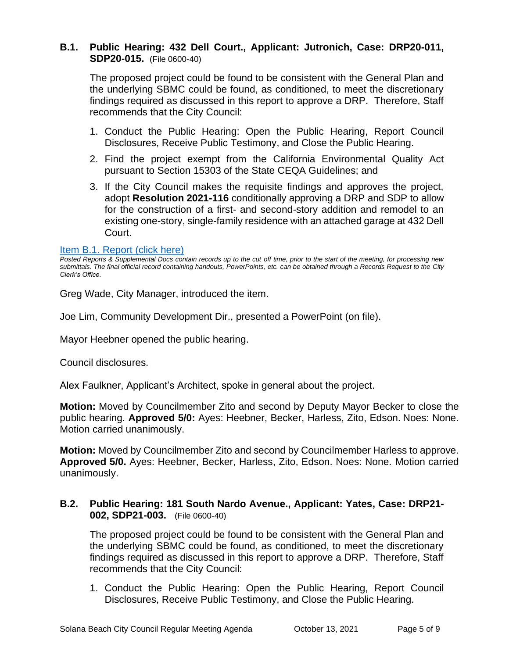# **B.1. Public Hearing: 432 Dell Court., Applicant: Jutronich, Case: DRP20-011, SDP20-015.** (File 0600-40)

The proposed project could be found to be consistent with the General Plan and the underlying SBMC could be found, as conditioned, to meet the discretionary findings required as discussed in this report to approve a DRP. Therefore, Staff recommends that the City Council:

- 1. Conduct the Public Hearing: Open the Public Hearing, Report Council Disclosures, Receive Public Testimony, and Close the Public Hearing.
- 2. Find the project exempt from the California Environmental Quality Act pursuant to Section 15303 of the State CEQA Guidelines; and
- 3. If the City Council makes the requisite findings and approves the project, adopt **Resolution 2021-116** conditionally approving a DRP and SDP to allow for the construction of a first- and second-story addition and remodel to an existing one-story, single-family residence with an attached garage at 432 Dell Court.

#### [Item B.1. Report \(click here\)](https://solanabeach.govoffice3.com/vertical/Sites/%7B840804C2-F869-4904-9AE3-720581350CE7%7D/uploads/Item_B.1._Report_(click_here)_-_10-13-21_O.pdf)

Greg Wade, City Manager, introduced the item.

Joe Lim, Community Development Dir., presented a PowerPoint (on file).

Mayor Heebner opened the public hearing.

Council disclosures.

Alex Faulkner, Applicant's Architect, spoke in general about the project.

**Motion:** Moved by Councilmember Zito and second by Deputy Mayor Becker to close the public hearing. **Approved 5/0:** Ayes: Heebner, Becker, Harless, Zito, Edson. Noes: None. Motion carried unanimously.

**Motion:** Moved by Councilmember Zito and second by Councilmember Harless to approve. **Approved 5/0.** Ayes: Heebner, Becker, Harless, Zito, Edson. Noes: None. Motion carried unanimously.

# **B.2. Public Hearing: 181 South Nardo Avenue., Applicant: Yates, Case: DRP21- 002, SDP21-003.** (File 0600-40)

The proposed project could be found to be consistent with the General Plan and the underlying SBMC could be found, as conditioned, to meet the discretionary findings required as discussed in this report to approve a DRP. Therefore, Staff recommends that the City Council:

1. Conduct the Public Hearing: Open the Public Hearing, Report Council Disclosures, Receive Public Testimony, and Close the Public Hearing.

*Posted Reports & Supplemental Docs contain records up to the cut off time, prior to the start of the meeting, for processing new submittals. The final official record containing handouts, PowerPoints, etc. can be obtained through a Records Request to the City Clerk's Office.*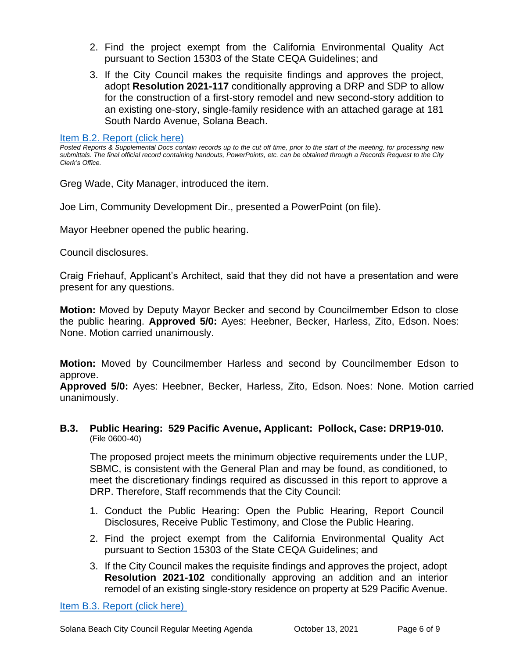- 2. Find the project exempt from the California Environmental Quality Act pursuant to Section 15303 of the State CEQA Guidelines; and
- 3. If the City Council makes the requisite findings and approves the project, adopt **Resolution 2021-117** conditionally approving a DRP and SDP to allow for the construction of a first-story remodel and new second-story addition to an existing one-story, single-family residence with an attached garage at 181 South Nardo Avenue, Solana Beach.

#### [Item B.2. Report \(click here\)](https://solanabeach.govoffice3.com/vertical/Sites/%7B840804C2-F869-4904-9AE3-720581350CE7%7D/uploads/Item_B.2._Report_(click_here)_-_10-13-21_O.pdf)

*Posted Reports & Supplemental Docs contain records up to the cut off time, prior to the start of the meeting, for processing new submittals. The final official record containing handouts, PowerPoints, etc. can be obtained through a Records Request to the City Clerk's Office.*

Greg Wade, City Manager, introduced the item.

Joe Lim, Community Development Dir., presented a PowerPoint (on file).

Mayor Heebner opened the public hearing.

Council disclosures.

Craig Friehauf, Applicant's Architect, said that they did not have a presentation and were present for any questions.

**Motion:** Moved by Deputy Mayor Becker and second by Councilmember Edson to close the public hearing. **Approved 5/0:** Ayes: Heebner, Becker, Harless, Zito, Edson. Noes: None. Motion carried unanimously.

**Motion:** Moved by Councilmember Harless and second by Councilmember Edson to approve.

**Approved 5/0:** Ayes: Heebner, Becker, Harless, Zito, Edson. Noes: None. Motion carried unanimously.

#### **B.3. Public Hearing: 529 Pacific Avenue, Applicant: Pollock, Case: DRP19-010.**  (File 0600-40)

The proposed project meets the minimum objective requirements under the LUP, SBMC, is consistent with the General Plan and may be found, as conditioned, to meet the discretionary findings required as discussed in this report to approve a DRP. Therefore, Staff recommends that the City Council:

- 1. Conduct the Public Hearing: Open the Public Hearing, Report Council Disclosures, Receive Public Testimony, and Close the Public Hearing.
- 2. Find the project exempt from the California Environmental Quality Act pursuant to Section 15303 of the State CEQA Guidelines; and
- 3. If the City Council makes the requisite findings and approves the project, adopt **Resolution 2021-102** conditionally approving an addition and an interior remodel of an existing single-story residence on property at 529 Pacific Avenue.

[Item B.3. Report \(click here\)](https://solanabeach.govoffice3.com/vertical/Sites/%7B840804C2-F869-4904-9AE3-720581350CE7%7D/uploads/Item_B.3._Report_(click_here)_-_10-13-21_O.pdf)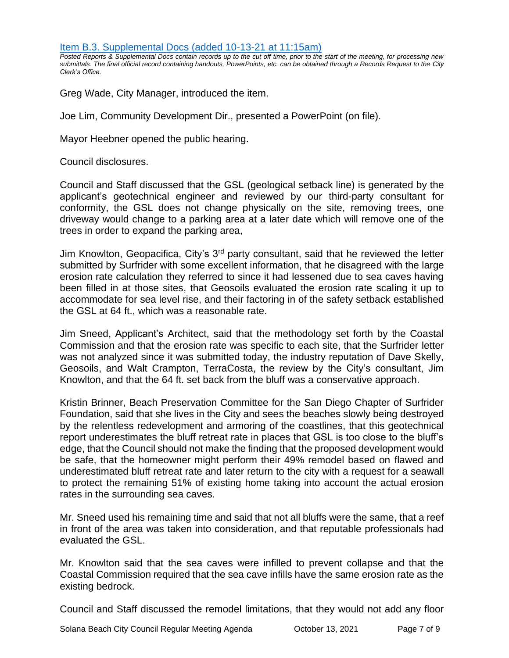[Item B.3. Supplemental Docs \(added 10-13-21 at 11:15am\)](https://solanabeach.govoffice3.com/vertical/Sites/%7B840804C2-F869-4904-9AE3-720581350CE7%7D/uploads/Item_B.3._Supplemental_Docs_(10-13_at_11am)_-_O.pdf)

*Posted Reports & Supplemental Docs contain records up to the cut off time, prior to the start of the meeting, for processing new submittals. The final official record containing handouts, PowerPoints, etc. can be obtained through a Records Request to the City Clerk's Office.*

Greg Wade, City Manager, introduced the item.

Joe Lim, Community Development Dir., presented a PowerPoint (on file).

Mayor Heebner opened the public hearing.

Council disclosures.

Council and Staff discussed that the GSL (geological setback line) is generated by the applicant's geotechnical engineer and reviewed by our third-party consultant for conformity, the GSL does not change physically on the site, removing trees, one driveway would change to a parking area at a later date which will remove one of the trees in order to expand the parking area,

Jim Knowlton, Geopacifica, City's 3<sup>rd</sup> party consultant, said that he reviewed the letter submitted by Surfrider with some excellent information, that he disagreed with the large erosion rate calculation they referred to since it had lessened due to sea caves having been filled in at those sites, that Geosoils evaluated the erosion rate scaling it up to accommodate for sea level rise, and their factoring in of the safety setback established the GSL at 64 ft., which was a reasonable rate.

Jim Sneed, Applicant's Architect, said that the methodology set forth by the Coastal Commission and that the erosion rate was specific to each site, that the Surfrider letter was not analyzed since it was submitted today, the industry reputation of Dave Skelly, Geosoils, and Walt Crampton, TerraCosta, the review by the City's consultant, Jim Knowlton, and that the 64 ft. set back from the bluff was a conservative approach.

Kristin Brinner, Beach Preservation Committee for the San Diego Chapter of Surfrider Foundation, said that she lives in the City and sees the beaches slowly being destroyed by the relentless redevelopment and armoring of the coastlines, that this geotechnical report underestimates the bluff retreat rate in places that GSL is too close to the bluff's edge, that the Council should not make the finding that the proposed development would be safe, that the homeowner might perform their 49% remodel based on flawed and underestimated bluff retreat rate and later return to the city with a request for a seawall to protect the remaining 51% of existing home taking into account the actual erosion rates in the surrounding sea caves.

Mr. Sneed used his remaining time and said that not all bluffs were the same, that a reef in front of the area was taken into consideration, and that reputable professionals had evaluated the GSL.

Mr. Knowlton said that the sea caves were infilled to prevent collapse and that the Coastal Commission required that the sea cave infills have the same erosion rate as the existing bedrock.

Council and Staff discussed the remodel limitations, that they would not add any floor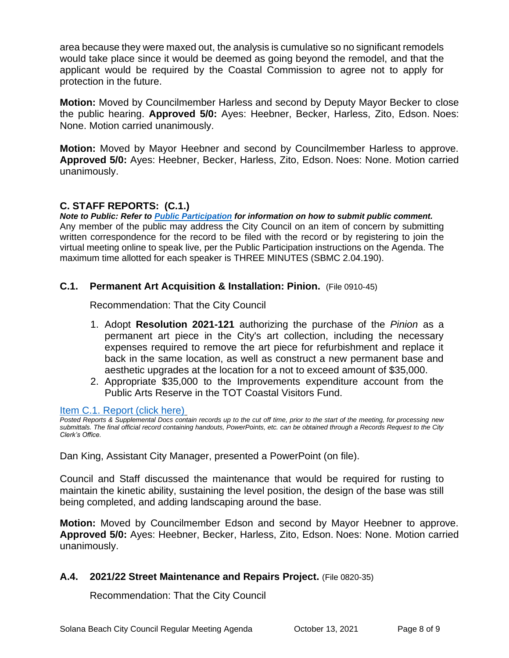area because they were maxed out, the analysis is cumulative so no significant remodels would take place since it would be deemed as going beyond the remodel, and that the applicant would be required by the Coastal Commission to agree not to apply for protection in the future.

**Motion:** Moved by Councilmember Harless and second by Deputy Mayor Becker to close the public hearing. **Approved 5/0:** Ayes: Heebner, Becker, Harless, Zito, Edson. Noes: None. Motion carried unanimously.

**Motion:** Moved by Mayor Heebner and second by Councilmember Harless to approve. **Approved 5/0:** Ayes: Heebner, Becker, Harless, Zito, Edson. Noes: None. Motion carried unanimously.

# **C. STAFF REPORTS: (C.1.)**

*Note to Public: Refer to Public Participation for information on how to submit public comment.*  Any member of the public may address the City Council on an item of concern by submitting written correspondence for the record to be filed with the record or by registering to join the virtual meeting online to speak live, per the Public Participation instructions on the Agenda. The maximum time allotted for each speaker is THREE MINUTES (SBMC 2.04.190).

# **C.1. Permanent Art Acquisition & Installation: Pinion.** (File 0910-45)

Recommendation: That the City Council

- 1. Adopt **Resolution 2021-121** authorizing the purchase of the *Pinion* as a permanent art piece in the City's art collection, including the necessary expenses required to remove the art piece for refurbishment and replace it back in the same location, as well as construct a new permanent base and aesthetic upgrades at the location for a not to exceed amount of \$35,000.
- 2. Appropriate \$35,000 to the Improvements expenditure account from the Public Arts Reserve in the TOT Coastal Visitors Fund.

[Item C.1. Report \(click here\)](https://solanabeach.govoffice3.com/vertical/Sites/%7B840804C2-F869-4904-9AE3-720581350CE7%7D/uploads/Item_C.1._Report_(click_here)_-_10-13-21_O.pdf)

*Posted Reports & Supplemental Docs contain records up to the cut off time, prior to the start of the meeting, for processing new submittals. The final official record containing handouts, PowerPoints, etc. can be obtained through a Records Request to the City Clerk's Office.*

Dan King, Assistant City Manager, presented a PowerPoint (on file).

Council and Staff discussed the maintenance that would be required for rusting to maintain the kinetic ability, sustaining the level position, the design of the base was still being completed, and adding landscaping around the base.

**Motion:** Moved by Councilmember Edson and second by Mayor Heebner to approve. **Approved 5/0:** Ayes: Heebner, Becker, Harless, Zito, Edson. Noes: None. Motion carried unanimously.

# **A.4. 2021/22 Street Maintenance and Repairs Project.** (File 0820-35)

Recommendation: That the City Council